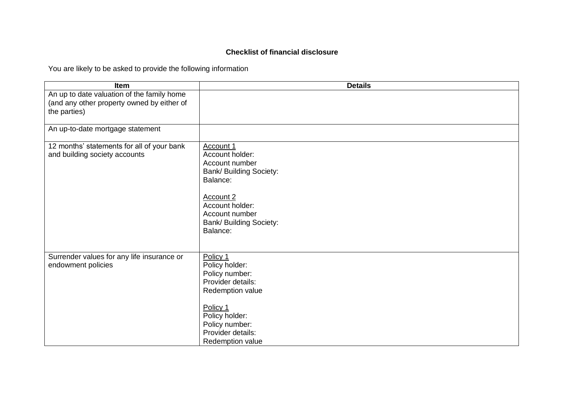## **Checklist of financial disclosure**

You are likely to be asked to provide the following information

| <b>Item</b>                                                                                              | <b>Details</b>                                                                                                                                                                               |
|----------------------------------------------------------------------------------------------------------|----------------------------------------------------------------------------------------------------------------------------------------------------------------------------------------------|
| An up to date valuation of the family home<br>(and any other property owned by either of<br>the parties) |                                                                                                                                                                                              |
| An up-to-date mortgage statement                                                                         |                                                                                                                                                                                              |
| 12 months' statements for all of your bank<br>and building society accounts                              | Account 1<br>Account holder:<br>Account number<br><b>Bank/ Building Society:</b><br>Balance:<br>Account 2<br>Account holder:<br>Account number<br><b>Bank/ Building Society:</b><br>Balance: |
| Surrender values for any life insurance or<br>endowment policies                                         | Policy 1<br>Policy holder:<br>Policy number:<br>Provider details:<br>Redemption value<br>Policy 1<br>Policy holder:<br>Policy number:<br>Provider details:<br>Redemption value               |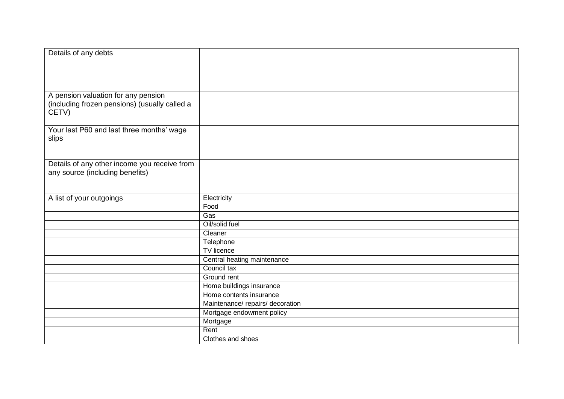| Details of any debts                          |                                |
|-----------------------------------------------|--------------------------------|
|                                               |                                |
|                                               |                                |
|                                               |                                |
|                                               |                                |
| A pension valuation for any pension           |                                |
| (including frozen pensions) (usually called a |                                |
| CETV)                                         |                                |
|                                               |                                |
| Your last P60 and last three months' wage     |                                |
| slips                                         |                                |
|                                               |                                |
|                                               |                                |
| Details of any other income you receive from  |                                |
| any source (including benefits)               |                                |
|                                               |                                |
|                                               |                                |
| A list of your outgoings                      | Electricity                    |
|                                               | Food                           |
|                                               | Gas                            |
|                                               | Oil/solid fuel                 |
|                                               | Cleaner                        |
|                                               | Telephone                      |
|                                               | <b>TV</b> licence              |
|                                               | Central heating maintenance    |
|                                               | Council tax                    |
|                                               | Ground rent                    |
|                                               | Home buildings insurance       |
|                                               | Home contents insurance        |
|                                               | Maintenance/repairs/decoration |
|                                               | Mortgage endowment policy      |
|                                               | Mortgage                       |
|                                               | Rent                           |
|                                               | Clothes and shoes              |